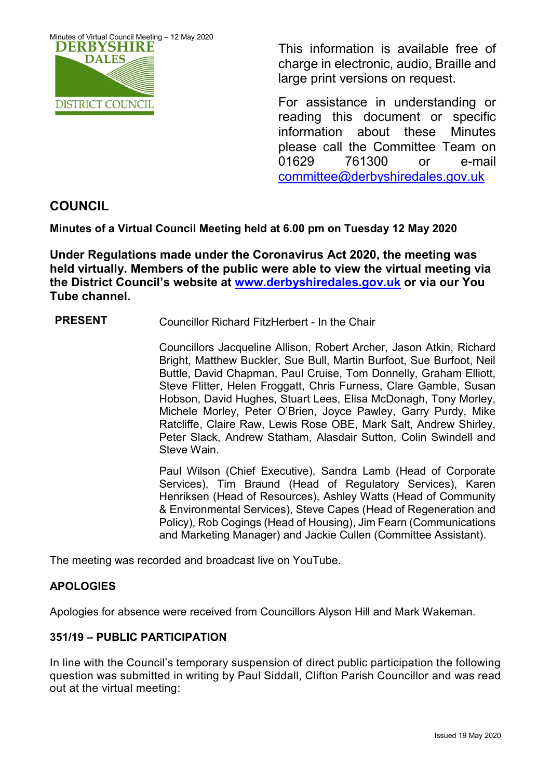

This information is available free of charge in electronic, audio, Braille and large print versions on request.

For assistance in understanding or reading this document or specific information about these Minutes please call the Committee Team on 01629 761300 or e-mail [committee@derbyshiredales.gov.uk](mailto:brian.evans@derbyshiredales.gov.uk) 

# **COUNCIL**

**Minutes of a Virtual Council Meeting held at 6.00 pm on Tuesday 12 May 2020**

**Under Regulations made under the Coronavirus Act 2020, the meeting was held virtually. Members of the public were able to view the virtual meeting via the District Council's website at [www.derbyshiredales.gov.uk](http://www.derbyshiredales.gov.uk/) or via our You Tube channel.**

# **PRESENT** Councillor Richard FitzHerbert - In the Chair

Councillors Jacqueline Allison, Robert Archer, Jason Atkin, Richard Bright, Matthew Buckler, Sue Bull, Martin Burfoot, Sue Burfoot, Neil Buttle, David Chapman, Paul Cruise, Tom Donnelly, Graham Elliott, Steve Flitter, Helen Froggatt, Chris Furness, Clare Gamble, Susan Hobson, David Hughes, Stuart Lees, Elisa McDonagh, Tony Morley, Michele Morley, Peter O'Brien, Joyce Pawley, Garry Purdy, Mike Ratcliffe, Claire Raw, Lewis Rose OBE, Mark Salt, Andrew Shirley, Peter Slack, Andrew Statham, Alasdair Sutton, Colin Swindell and Steve Wain.

Paul Wilson (Chief Executive), Sandra Lamb (Head of Corporate Services), Tim Braund (Head of Regulatory Services), Karen Henriksen (Head of Resources), Ashley Watts (Head of Community & Environmental Services), Steve Capes (Head of Regeneration and Policy), Rob Cogings (Head of Housing), Jim Fearn (Communications and Marketing Manager) and Jackie Cullen (Committee Assistant).

The meeting was recorded and broadcast live on YouTube.

# **APOLOGIES**

Apologies for absence were received from Councillors Alyson Hill and Mark Wakeman.

# **351/19 – PUBLIC PARTICIPATION**

In line with the Council's temporary suspension of direct public participation the following question was submitted in writing by Paul Siddall, Clifton Parish Councillor and was read out at the virtual meeting: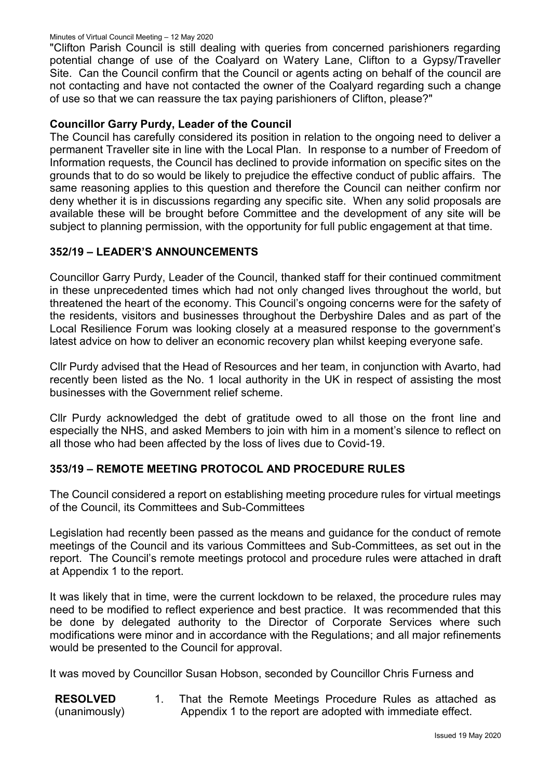#### Minutes of Virtual Council Meeting – 12 May 2020

"Clifton Parish Council is still dealing with queries from concerned parishioners regarding potential change of use of the Coalyard on Watery Lane, Clifton to a Gypsy/Traveller Site. Can the Council confirm that the Council or agents acting on behalf of the council are not contacting and have not contacted the owner of the Coalyard regarding such a change of use so that we can reassure the tax paying parishioners of Clifton, please?"

### **Councillor Garry Purdy, Leader of the Council**

The Council has carefully considered its position in relation to the ongoing need to deliver a permanent Traveller site in line with the Local Plan. In response to a number of Freedom of Information requests, the Council has declined to provide information on specific sites on the grounds that to do so would be likely to prejudice the effective conduct of public affairs. The same reasoning applies to this question and therefore the Council can neither confirm nor deny whether it is in discussions regarding any specific site. When any solid proposals are available these will be brought before Committee and the development of any site will be subject to planning permission, with the opportunity for full public engagement at that time.

#### **352/19 – LEADER'S ANNOUNCEMENTS**

Councillor Garry Purdy, Leader of the Council, thanked staff for their continued commitment in these unprecedented times which had not only changed lives throughout the world, but threatened the heart of the economy. This Council's ongoing concerns were for the safety of the residents, visitors and businesses throughout the Derbyshire Dales and as part of the Local Resilience Forum was looking closely at a measured response to the government's latest advice on how to deliver an economic recovery plan whilst keeping everyone safe.

Cllr Purdy advised that the Head of Resources and her team, in conjunction with Avarto, had recently been listed as the No. 1 local authority in the UK in respect of assisting the most businesses with the Government relief scheme.

Cllr Purdy acknowledged the debt of gratitude owed to all those on the front line and especially the NHS, and asked Members to join with him in a moment's silence to reflect on all those who had been affected by the loss of lives due to Covid-19.

# **353/19 – REMOTE MEETING PROTOCOL AND PROCEDURE RULES**

The Council considered a report on establishing meeting procedure rules for virtual meetings of the Council, its Committees and Sub-Committees

Legislation had recently been passed as the means and guidance for the conduct of remote meetings of the Council and its various Committees and Sub-Committees, as set out in the report. The Council's remote meetings protocol and procedure rules were attached in draft at Appendix 1 to the report.

It was likely that in time, were the current lockdown to be relaxed, the procedure rules may need to be modified to reflect experience and best practice. It was recommended that this be done by delegated authority to the Director of Corporate Services where such modifications were minor and in accordance with the Regulations; and all major refinements would be presented to the Council for approval.

It was moved by Councillor Susan Hobson, seconded by Councillor Chris Furness and

**RESOLVED** (unanimously) 1. That the Remote Meetings Procedure Rules as attached as Appendix 1 to the report are adopted with immediate effect.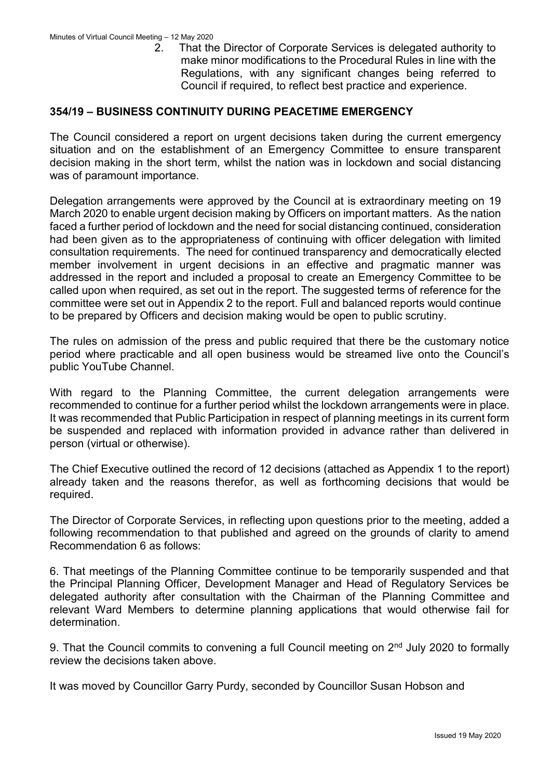2. That the Director of Corporate Services is delegated authority to make minor modifications to the Procedural Rules in line with the Regulations, with any significant changes being referred to Council if required, to reflect best practice and experience.

#### **354/19 – BUSINESS CONTINUITY DURING PEACETIME EMERGENCY**

The Council considered a report on urgent decisions taken during the current emergency situation and on the establishment of an Emergency Committee to ensure transparent decision making in the short term, whilst the nation was in lockdown and social distancing was of paramount importance.

Delegation arrangements were approved by the Council at is extraordinary meeting on 19 March 2020 to enable urgent decision making by Officers on important matters. As the nation faced a further period of lockdown and the need for social distancing continued, consideration had been given as to the appropriateness of continuing with officer delegation with limited consultation requirements. The need for continued transparency and democratically elected member involvement in urgent decisions in an effective and pragmatic manner was addressed in the report and included a proposal to create an Emergency Committee to be called upon when required, as set out in the report. The suggested terms of reference for the committee were set out in Appendix 2 to the report. Full and balanced reports would continue to be prepared by Officers and decision making would be open to public scrutiny.

The rules on admission of the press and public required that there be the customary notice period where practicable and all open business would be streamed live onto the Council's public YouTube Channel.

With regard to the Planning Committee, the current delegation arrangements were recommended to continue for a further period whilst the lockdown arrangements were in place. It was recommended that Public Participation in respect of planning meetings in its current form be suspended and replaced with information provided in advance rather than delivered in person (virtual or otherwise).

The Chief Executive outlined the record of 12 decisions (attached as Appendix 1 to the report) already taken and the reasons therefor, as well as forthcoming decisions that would be required.

The Director of Corporate Services, in reflecting upon questions prior to the meeting, added a following recommendation to that published and agreed on the grounds of clarity to amend Recommendation 6 as follows:

6. That meetings of the Planning Committee continue to be temporarily suspended and that the Principal Planning Officer, Development Manager and Head of Regulatory Services be delegated authority after consultation with the Chairman of the Planning Committee and relevant Ward Members to determine planning applications that would otherwise fail for determination.

9. That the Council commits to convening a full Council meeting on 2<sup>nd</sup> July 2020 to formally review the decisions taken above.

It was moved by Councillor Garry Purdy, seconded by Councillor Susan Hobson and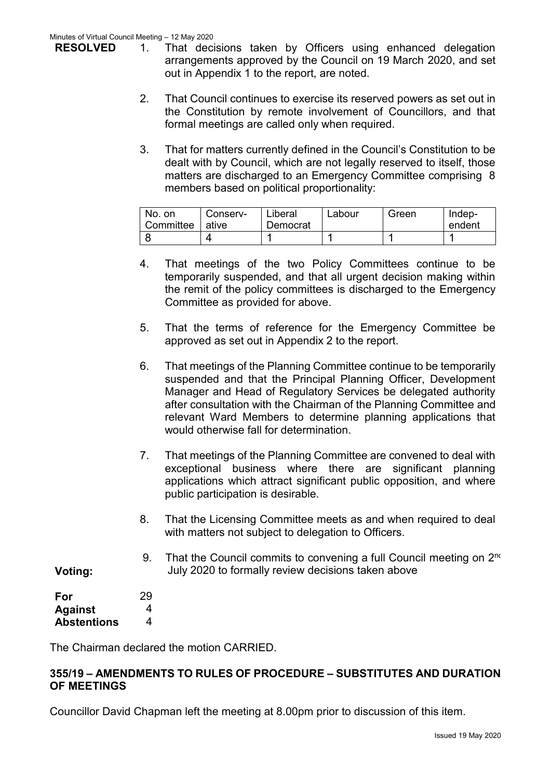**RESOLVED**

- 1. That decisions taken by Officers using enhanced delegation arrangements approved by the Council on 19 March 2020, and set out in Appendix 1 to the report, are noted.
- 2. That Council continues to exercise its reserved powers as set out in the Constitution by remote involvement of Councillors, and that formal meetings are called only when required.
- 3. That for matters currently defined in the Council's Constitution to be dealt with by Council, which are not legally reserved to itself, those matters are discharged to an Emergency Committee comprising 8 members based on political proportionality:

| No. on<br>Committee | Conserv-<br>ative | _iberal<br>Democrat | Labour | Green | Indep-<br>endent |
|---------------------|-------------------|---------------------|--------|-------|------------------|
|                     |                   |                     |        |       |                  |

- 4. That meetings of the two Policy Committees continue to be temporarily suspended, and that all urgent decision making within the remit of the policy committees is discharged to the Emergency Committee as provided for above.
- 5. That the terms of reference for the Emergency Committee be approved as set out in Appendix 2 to the report.
- 6. That meetings of the Planning Committee continue to be temporarily suspended and that the Principal Planning Officer, Development Manager and Head of Regulatory Services be delegated authority after consultation with the Chairman of the Planning Committee and relevant Ward Members to determine planning applications that would otherwise fall for determination.
- 7. That meetings of the Planning Committee are convened to deal with exceptional business where there are significant planning applications which attract significant public opposition, and where public participation is desirable.
- 8. That the Licensing Committee meets as and when required to deal with matters not subject to delegation to Officers.
- 9. That the Council commits to convening a full Council meeting on  $2^{nc}$ July 2020 to formally review decisions taken above

| For            | 2 <sup>0</sup> |
|----------------|----------------|
| <b>Against</b> | í              |

**Voting:**

**Abstentions** 29 4 4

The Chairman declared the motion CARRIED.

# **355/19 – AMENDMENTS TO RULES OF PROCEDURE – SUBSTITUTES AND DURATION OF MEETINGS**

Councillor David Chapman left the meeting at 8.00pm prior to discussion of this item.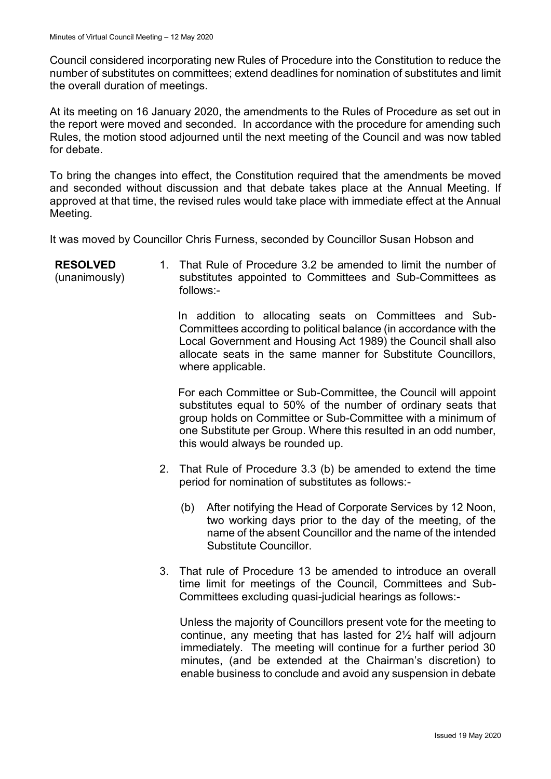Council considered incorporating new Rules of Procedure into the Constitution to reduce the number of substitutes on committees; extend deadlines for nomination of substitutes and limit the overall duration of meetings.

At its meeting on 16 January 2020, the amendments to the Rules of Procedure as set out in the report were moved and seconded. In accordance with the procedure for amending such Rules, the motion stood adjourned until the next meeting of the Council and was now tabled for debate.

To bring the changes into effect, the Constitution required that the amendments be moved and seconded without discussion and that debate takes place at the Annual Meeting. If approved at that time, the revised rules would take place with immediate effect at the Annual Meeting.

It was moved by Councillor Chris Furness, seconded by Councillor Susan Hobson and

**RESOLVED** (unanimously) 1. That Rule of Procedure 3.2 be amended to limit the number of substitutes appointed to Committees and Sub-Committees as follows:-

> In addition to allocating seats on Committees and Sub-Committees according to political balance (in accordance with the Local Government and Housing Act 1989) the Council shall also allocate seats in the same manner for Substitute Councillors, where applicable.

> For each Committee or Sub-Committee, the Council will appoint substitutes equal to 50% of the number of ordinary seats that group holds on Committee or Sub-Committee with a minimum of one Substitute per Group. Where this resulted in an odd number, this would always be rounded up.

- 2. That Rule of Procedure 3.3 (b) be amended to extend the time period for nomination of substitutes as follows:-
	- (b) After notifying the Head of Corporate Services by 12 Noon, two working days prior to the day of the meeting, of the name of the absent Councillor and the name of the intended Substitute Councillor.
- 3. That rule of Procedure 13 be amended to introduce an overall time limit for meetings of the Council, Committees and Sub-Committees excluding quasi-judicial hearings as follows:-

 Unless the majority of Councillors present vote for the meeting to continue, any meeting that has lasted for 2½ half will adjourn immediately. The meeting will continue for a further period 30 minutes, (and be extended at the Chairman's discretion) to enable business to conclude and avoid any suspension in debate